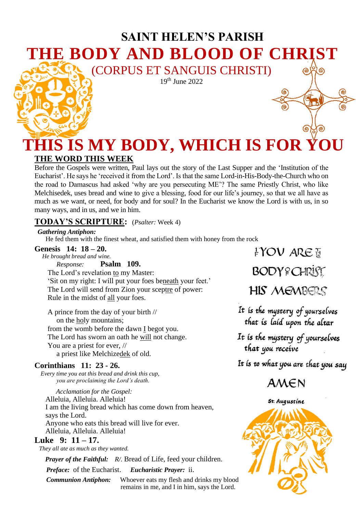# **SAINT HELEN'S PARISH THE BODY AND BLOOD OF CHRIST** (CORPUS ET SANGUIS CHRISTI)

19<sup>th</sup> June 2022

# **THIS IS MY BODY, WHICH IS FOR YOU THE WORD THIS WEEK**

Before the Gospels were written, Paul lays out the story of the Last Supper and the 'Institution of the Eucharist'. He says he 'received it from the Lord'. Is that the same Lord-in-His-Body-the-Church who on the road to Damascus had asked 'why are you persecuting ME'? The same Priestly Christ, who like Melchisedek, uses bread and wine to give a blessing, food for our life's journey, so that we all have as much as we want, or need, for body and for soul? In the Eucharist we know the Lord is with us, in so many ways, and in us, and we in him.

### **TODAY'S SCRIPTURE:** (*Psalter:* Week 4)

 *Gathering Antiphon:* 

He fed them with the finest wheat, and satisfied them with honey from the rock<br> **nesis** 14: 18 – 20.<br> **EYOV** ARE

#### **Genesis 14: 18 – 20.**

 *He brought bread and wine. Response:* **Psalm 109.** The Lord's revelation to my Master: 'Sit on my right: I will put your foes beneath your feet.' The Lord will send from Zion your sceptre of power: Rule in the midst of all your foes.

A prince from the day of your birth // on the holy mountains; from the womb before the dawn I begot you. The Lord has sworn an oath he will not change. You are a priest for ever, // a priest like Melchizedek of old.

#### **Corinthians 11: 23 - 26.**

 *Every time you eat this bread and drink this cup, you are proclaiming the Lord's death.*

 *Acclamation for the Gospel:*  Alleluia, Alleluia. Alleluia! I am the living bread which has come down from heaven, says the Lord. Anyone who eats this bread will live for ever. Alleluia, Alleluia. Alleluia!

#### **Luke 9: 11 – 17.**

 *They all ate as much as they wanted.* 

 *Prayer of the Faithful: R/.* Bread of Life, feed your children.

 *Preface:* of the Eucharist. *Eucharistic Prayer:* ii.

 *Communion Antiphon:* Whoever eats my flesh and drinks my blood remains in me, and I in him, says the Lord.

**BODY? CHRIST** 

(ඉ

෯

**HIS MEMBERS** 

It is the mystery of yourselves that is laid upon the altar

It is the mystery of yourselves that you receive

It is to what you are that you say

 $AMEN$ 



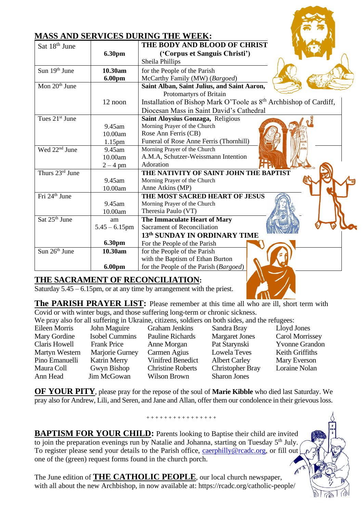| Sat 18 <sup>th</sup> June  | 6.30pm             | THE BODY AND BLOOD OF CHRIST<br>('Corpus et Sanguis Christi')<br>Sheila Phillips |
|----------------------------|--------------------|----------------------------------------------------------------------------------|
| Sun 19th June              | 10.30am            | for the People of the Parish                                                     |
|                            | 6.00pm             | McCarthy Family (MW) (Bargoed)                                                   |
| Mon $20th$ June            |                    | Saint Alban, Saint Julius, and Saint Aaron,                                      |
|                            |                    | Protomartyrs of Britain                                                          |
|                            | 12 noon            | Installation of Bishop Mark O'Toole as 8 <sup>th</sup> Archbishop of Cardiff,    |
|                            |                    | Diocesan Mass in Saint David's Cathedral                                         |
| Tues 21 <sup>st</sup> June |                    | Saint Aloysius Gonzaga, Religious                                                |
|                            | 9.45am             | Morning Prayer of the Church                                                     |
|                            | 10.00am            | Rose Ann Ferris (CB)                                                             |
|                            | 1.15 <sub>pm</sub> | Funeral of Rose Anne Ferris (Thornhill)                                          |
| Wed $22nd$ June            | 9.45am             | Morning Prayer of the Church                                                     |
|                            | 10.00am            | A.M.A, Schutzer-Weissmann Intention                                              |
|                            | $2 - 4$ pm         | Adoration                                                                        |
| Thurs 23rd June            |                    | THE NATIVITY OF SAINT JOHN THE BAPTIST                                           |
|                            | 9.45am             | Morning Prayer of the Church                                                     |
|                            | 10.00am            | Anne Atkins (MP)                                                                 |
| Fri 24 <sup>th</sup> June  |                    | THE MOST SACRED HEART OF JESUS                                                   |
|                            | 9.45am             | Morning Prayer of the Church                                                     |
|                            | 10.00am            | Theresia Paulo (VT)                                                              |
| Sat $25th$ June            | am                 | The Immaculate Heart of Mary                                                     |
|                            | $5.45 - 6.15$ pm   | Sacrament of Reconciliation                                                      |
|                            |                    | 13th SUNDAY IN ORDINARY TIME                                                     |
|                            | 6.30pm             | For the People of the Parish                                                     |
| Sun $26th$ June            | 10.30am            | for the People of the Parish                                                     |
|                            |                    | with the Baptism of Ethan Burton                                                 |
|                            | 6.00pm             | for the People of the Parish (Bargoed)                                           |

## **THE SACRAMENT OF RECONCILIATION:**

Saturday 5.45 – 6.15pm, or at any time by arrangement with the priest.

**The PARISH PRAYER LIST:** Please remember at this time all who are ill, short term with Covid or with winter bugs, and those suffering long-term or chronic sickness.

We pray also for all suffering in Ukraine, citizens, soldiers on both sides, and the refugees:

Eileen Morris John Maguire Graham Jenkins Sandra Bray Lloyd Jones Mary Gordine Isobel Cummins Pauline Richards Margaret Jones Carol Morrissey Claris Howell Frank Price Anne Morgan Pat Starynski Yvonne Grandon Martyn Western Marjorie Gurney Carmen Agius Lowela Teves Keith Griffiths Pino Emanuelli Katrin Merry Vinifred Benedict Albert Carley Mary Everson Maura Coll Gwyn Bishop Christine Roberts Christopher Bray Loraine Nolan

Ann Head Jim McGowan Wilson Brown Sharon Jones

**OF YOUR PITY**, please pray for the repose of the soul of **Marie Kibble** who died last Saturday. We pray also for Andrew, Lili, and Seren, and Jane and Allan, offer them our condolence in their grievous loss.

+ + + + + + + + + + + + + + + +

**BAPTISM FOR YOUR CHILD:** Parents looking to Baptise their child are invited to join the preparation evenings run by Natalie and Johanna, starting on Tuesday  $5<sup>th</sup>$  July. To register please send your details to the Parish office, [caerphilly@rcadc.org,](mailto:caerphilly@rcadc.org) or fill out one of the (green) request forms found in the church porch.

The June edition of **THE CATHOLIC PEOPLE**, our local church newspaper, with all about the new Archbishop, in now available at: https://rcadc.org/catholic-people/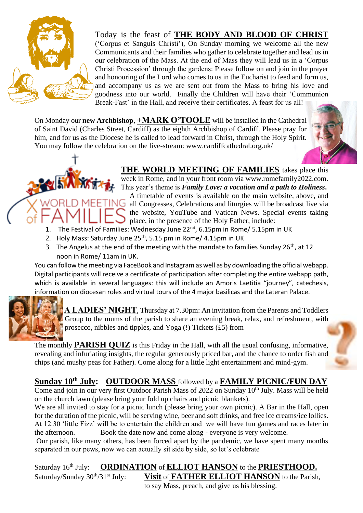

Today is the feast of **THE BODY AND BLOOD OF CHRIST** ('Corpus et Sanguis Christi'), On Sunday morning we welcome all the new Communicants and their families who gather to celebrate together and lead us in our celebration of the Mass. At the end of Mass they will lead us in a 'Corpus Christi Procession' through the gardens: Please follow on and join in the prayer and honouring of the Lord who comes to us in the Eucharist to feed and form us, and accompany us as we are sent out from the Mass to bring his love and goodness into our world. Finally the Children will have their 'Communion Break-Fast' in the Hall, and receive their certificates. A feast for us all!

On Monday our **new Archbishop**, **+MARK O'TOOLE** will be installed in the Cathedral of Saint David (Charles Street, Cardiff) as the eighth Archbishop of Cardiff. Please pray for him, and for us as the Diocese he is called to lead forward in Christ, through the Holy Spirit. You may follow the celebration on the live-stream: www.cardiffcathedral.org.uk/





## **THE WORLD MEETING OF FAMILIES** takes place this

week in Rome, and in your front room via [www.romefamily2022.com.](http://www.romefamily2022.com/) This year's theme is *Family Love: a vocation and a path to Holiness***.** [A timetable of events](chrome-extension://efaidnbmnnnibpcajpcglclefindmkaj/https:/www.romefamily2022.com/assets/media/programma-completo-en.pdf) is available on the main website, above, and all Congresses, Celebrations and liturgies will be broadcast live via

- the website, YouTube and Vatican News. Special events taking place, in the presence of the Holy Father, include:
- 1. The Festival of Families: Wednesday June 22<sup>nd</sup>, 6.15pm in Rome/ 5.15pm in UK
- 2. Holy Mass: Saturday June 25<sup>th</sup>, 5.15 pm in Rome/ 4.15pm in UK
- 3. The Angelus at the end of the meeting with the mandate to families Sunday 26<sup>th</sup>, at 12 noon in Rome/ 11am in UK.

You can follow the meeting via FaceBook and Instagram as well as by downloading the official webapp. Digital participants will receive a certificate of participation after completing the entire webapp path, which is available in several languages: this will include an Amoris Laetitia "journey", catechesis, information on diocesan roles and virtual tours of the 4 major basilicas and the Lateran Palace.



**A LADIES' NIGHT**, Thursday at 7.30pm: An invitation from the Parents and Toddlers Group to the mums of the parish to share an evening break, relax, and refreshment, with prosecco, nibbles and tipples, and Yoga (!) Tickets (£5) from

The monthly **PARISH QUIZ** is this Friday in the Hall, with all the usual confusing, informative, revealing and infuriating insights, the regular generously priced bar, and the chance to order fish and chips (and mushy peas for Father). Come along for a little light entertainment and mind-gym.

## **Sunday 10th July: OUTDOOR MASS** followed by a **FAMILY PICNIC/FUN DAY**

Come and join in our very first Outdoor Parish Mass of 2022 on Sunday  $10^{th}$  July. Mass will be held on the church lawn (please bring your fold up chairs and picnic blankets).

We are all invited to stay for a picnic lunch (please bring your own picnic). A Bar in the Hall, open for the duration of the picnic, will be serving wine, beer and soft drinks, and free ice creams/ice lollies. At 12.30 'little Fizz' will be to entertain the children and we will have fun games and races later in the afternoon. Book the date now and come along - everyone is very welcome.

Our parish, like many others, has been forced apart by the pandemic, we have spent many months separated in our pews, now we can actually sit side by side, so let's celebrate

Saturday 16th July: **ORDINATION** of **ELLIOT HANSON** to the **PRIESTHOOD.** Saturday/Sunday 30<sup>th</sup>/31<sup>st</sup> July: **Visit** of **FATHER ELLIOT HANSON** to the Parish, to say Mass, preach, and give us his blessing.